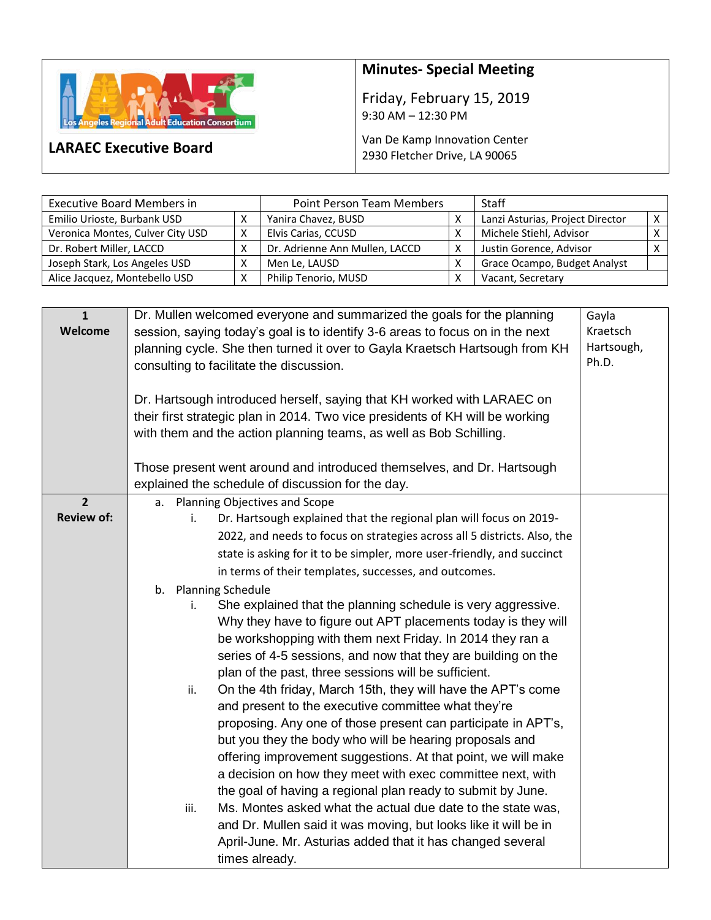

**LARAEC Executive Board**

## **Minutes- Special Meeting**

Friday, February 15, 2019 9:30 AM – 12:30 PM

Van De Kamp Innovation Center 2930 Fletcher Drive, LA 90065

| <b>Executive Board Members in</b> |   | <b>Point Person Team Members</b> |  | <b>Staff</b>                     |          |
|-----------------------------------|---|----------------------------------|--|----------------------------------|----------|
| Emilio Urioste, Burbank USD       |   | Yanira Chavez, BUSD              |  | Lanzi Asturias, Project Director | $\times$ |
| Veronica Montes, Culver City USD  | х | Elvis Carias, CCUSD              |  | Michele Stiehl, Advisor          |          |
| Dr. Robert Miller, LACCD          |   | Dr. Adrienne Ann Mullen, LACCD   |  | Justin Gorence, Advisor          |          |
| Joseph Stark, Los Angeles USD     |   | Men Le, LAUSD                    |  | Grace Ocampo, Budget Analyst     |          |
| Alice Jacquez, Montebello USD     |   | Philip Tenorio, MUSD             |  | Vacant, Secretary                |          |

| $\mathbf{1}$<br>Welcome             | Dr. Mullen welcomed everyone and summarized the goals for the planning<br>session, saying today's goal is to identify 3-6 areas to focus on in the next<br>planning cycle. She then turned it over to Gayla Kraetsch Hartsough from KH<br>consulting to facilitate the discussion.<br>Dr. Hartsough introduced herself, saying that KH worked with LARAEC on                                                                                                                                                                                                                                                                                                                                                                                                                                                                                                                                                                                                                                                                                                                                                                                                                                                                                       |  |  |
|-------------------------------------|----------------------------------------------------------------------------------------------------------------------------------------------------------------------------------------------------------------------------------------------------------------------------------------------------------------------------------------------------------------------------------------------------------------------------------------------------------------------------------------------------------------------------------------------------------------------------------------------------------------------------------------------------------------------------------------------------------------------------------------------------------------------------------------------------------------------------------------------------------------------------------------------------------------------------------------------------------------------------------------------------------------------------------------------------------------------------------------------------------------------------------------------------------------------------------------------------------------------------------------------------|--|--|
|                                     | their first strategic plan in 2014. Two vice presidents of KH will be working<br>with them and the action planning teams, as well as Bob Schilling.<br>Those present went around and introduced themselves, and Dr. Hartsough<br>explained the schedule of discussion for the day.                                                                                                                                                                                                                                                                                                                                                                                                                                                                                                                                                                                                                                                                                                                                                                                                                                                                                                                                                                 |  |  |
| $\overline{2}$<br><b>Review of:</b> | a. Planning Objectives and Scope<br>Dr. Hartsough explained that the regional plan will focus on 2019-<br>i.                                                                                                                                                                                                                                                                                                                                                                                                                                                                                                                                                                                                                                                                                                                                                                                                                                                                                                                                                                                                                                                                                                                                       |  |  |
|                                     | 2022, and needs to focus on strategies across all 5 districts. Also, the<br>state is asking for it to be simpler, more user-friendly, and succinct<br>in terms of their templates, successes, and outcomes.<br>b. Planning Schedule<br>She explained that the planning schedule is very aggressive.<br>i.<br>Why they have to figure out APT placements today is they will<br>be workshopping with them next Friday. In 2014 they ran a<br>series of 4-5 sessions, and now that they are building on the<br>plan of the past, three sessions will be sufficient.<br>On the 4th friday, March 15th, they will have the APT's come<br>ii.<br>and present to the executive committee what they're<br>proposing. Any one of those present can participate in APT's,<br>but you they the body who will be hearing proposals and<br>offering improvement suggestions. At that point, we will make<br>a decision on how they meet with exec committee next, with<br>the goal of having a regional plan ready to submit by June.<br>Ms. Montes asked what the actual due date to the state was,<br>iii.<br>and Dr. Mullen said it was moving, but looks like it will be in<br>April-June. Mr. Asturias added that it has changed several<br>times already. |  |  |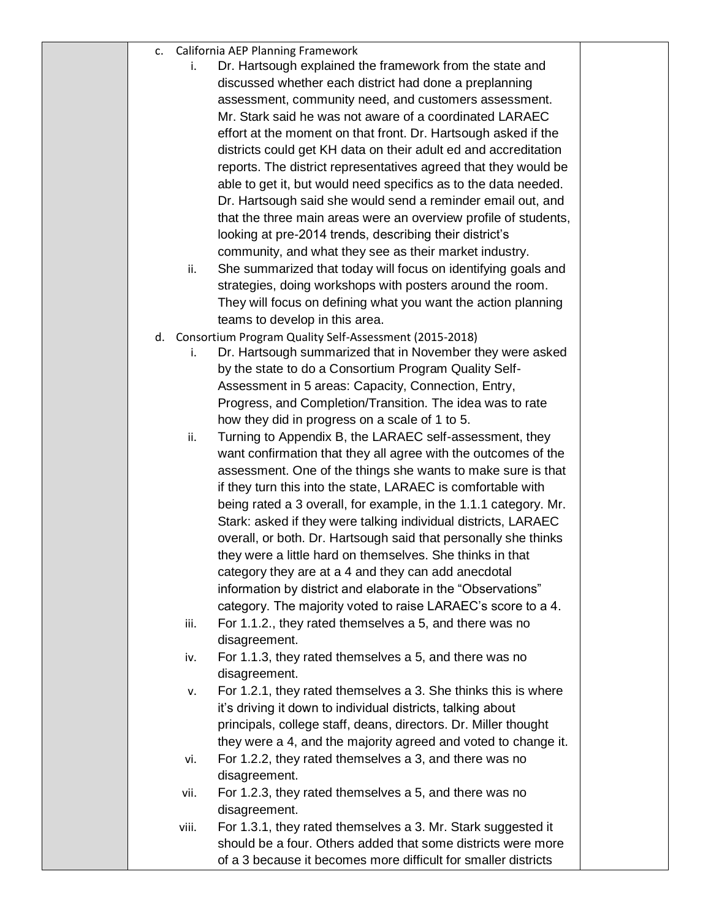|  | California AEP Planning Framework |  |
|--|-----------------------------------|--|
|--|-----------------------------------|--|

- i. Dr. Hartsough explained the framework from the state and discussed whether each district had done a preplanning assessment, community need, and customers assessment. Mr. Stark said he was not aware of a coordinated LARAEC effort at the moment on that front. Dr. Hartsough asked if the districts could get KH data on their adult ed and accreditation reports. The district representatives agreed that they would be able to get it, but would need specifics as to the data needed. Dr. Hartsough said she would send a reminder email out, and that the three main areas were an overview profile of students, looking at pre-2014 trends, describing their district's community, and what they see as their market industry.
- ii. She summarized that today will focus on identifying goals and strategies, doing workshops with posters around the room. They will focus on defining what you want the action planning teams to develop in this area.
- d. Consortium Program Quality Self-Assessment (2015-2018)
	- i. Dr. Hartsough summarized that in November they were asked by the state to do a Consortium Program Quality Self-Assessment in 5 areas: Capacity, Connection, Entry, Progress, and Completion/Transition. The idea was to rate how they did in progress on a scale of 1 to 5.
	- ii. Turning to Appendix B, the LARAEC self-assessment, they want confirmation that they all agree with the outcomes of the assessment. One of the things she wants to make sure is that if they turn this into the state, LARAEC is comfortable with being rated a 3 overall, for example, in the 1.1.1 category. Mr. Stark: asked if they were talking individual districts, LARAEC overall, or both. Dr. Hartsough said that personally she thinks they were a little hard on themselves. She thinks in that category they are at a 4 and they can add anecdotal information by district and elaborate in the "Observations" category. The majority voted to raise LARAEC's score to a 4.
	- iii. For 1.1.2., they rated themselves a 5, and there was no disagreement.
	- iv. For 1.1.3, they rated themselves a 5, and there was no disagreement.
	- v. For 1.2.1, they rated themselves a 3. She thinks this is where it's driving it down to individual districts, talking about principals, college staff, deans, directors. Dr. Miller thought they were a 4, and the majority agreed and voted to change it.
	- vi. For 1.2.2, they rated themselves a 3, and there was no disagreement.
	- vii. For 1.2.3, they rated themselves a 5, and there was no disagreement.
	- viii. For 1.3.1, they rated themselves a 3. Mr. Stark suggested it should be a four. Others added that some districts were more of a 3 because it becomes more difficult for smaller districts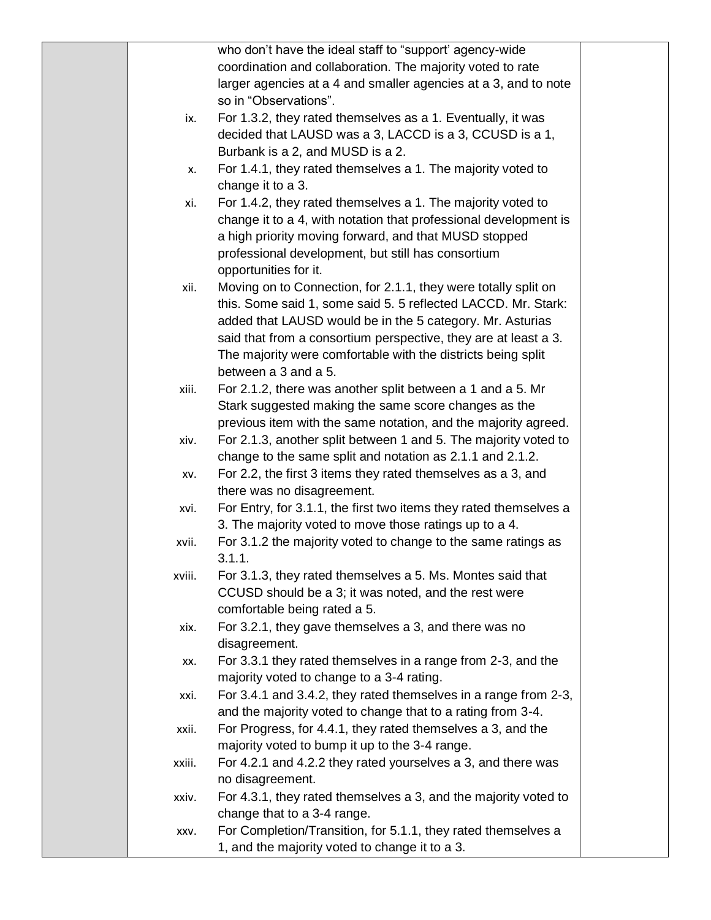|        | who don't have the ideal staff to "support' agency-wide           |  |
|--------|-------------------------------------------------------------------|--|
|        | coordination and collaboration. The majority voted to rate        |  |
|        | larger agencies at a 4 and smaller agencies at a 3, and to note   |  |
|        | so in "Observations".                                             |  |
| ix.    | For 1.3.2, they rated themselves as a 1. Eventually, it was       |  |
|        | decided that LAUSD was a 3, LACCD is a 3, CCUSD is a 1,           |  |
|        | Burbank is a 2, and MUSD is a 2.                                  |  |
| х.     | For 1.4.1, they rated themselves a 1. The majority voted to       |  |
|        | change it to a 3.                                                 |  |
| xi.    | For 1.4.2, they rated themselves a 1. The majority voted to       |  |
|        | change it to a 4, with notation that professional development is  |  |
|        | a high priority moving forward, and that MUSD stopped             |  |
|        | professional development, but still has consortium                |  |
|        | opportunities for it.                                             |  |
| xii.   | Moving on to Connection, for 2.1.1, they were totally split on    |  |
|        | this. Some said 1, some said 5. 5 reflected LACCD. Mr. Stark:     |  |
|        | added that LAUSD would be in the 5 category. Mr. Asturias         |  |
|        | said that from a consortium perspective, they are at least a 3.   |  |
|        | The majority were comfortable with the districts being split      |  |
|        | between a 3 and a 5.                                              |  |
| xiii.  | For 2.1.2, there was another split between a 1 and a 5. Mr        |  |
|        | Stark suggested making the same score changes as the              |  |
|        | previous item with the same notation, and the majority agreed.    |  |
| xiv.   | For 2.1.3, another split between 1 and 5. The majority voted to   |  |
|        | change to the same split and notation as 2.1.1 and 2.1.2.         |  |
| XV.    | For 2.2, the first 3 items they rated themselves as a 3, and      |  |
|        | there was no disagreement.                                        |  |
| xvi.   | For Entry, for 3.1.1, the first two items they rated themselves a |  |
|        | 3. The majority voted to move those ratings up to a 4.            |  |
| xvii.  | For 3.1.2 the majority voted to change to the same ratings as     |  |
|        | 311                                                               |  |
| xviii. | For 3.1.3, they rated themselves a 5. Ms. Montes said that        |  |
|        | CCUSD should be a 3; it was noted, and the rest were              |  |
|        | comfortable being rated a 5.                                      |  |
| xix.   | For 3.2.1, they gave themselves a 3, and there was no             |  |
|        | disagreement.                                                     |  |
| XX.    | For 3.3.1 they rated themselves in a range from 2-3, and the      |  |
|        | majority voted to change to a 3-4 rating.                         |  |
| xxi.   | For 3.4.1 and 3.4.2, they rated themselves in a range from 2-3,   |  |
|        | and the majority voted to change that to a rating from 3-4.       |  |
| xxii.  | For Progress, for 4.4.1, they rated themselves a 3, and the       |  |
|        | majority voted to bump it up to the 3-4 range.                    |  |
| xxiii. | For 4.2.1 and 4.2.2 they rated yourselves a 3, and there was      |  |
|        | no disagreement.                                                  |  |
| xxiv.  | For 4.3.1, they rated themselves a 3, and the majority voted to   |  |
|        | change that to a 3-4 range.                                       |  |
| XXV.   | For Completion/Transition, for 5.1.1, they rated themselves a     |  |
|        | 1, and the majority voted to change it to a 3.                    |  |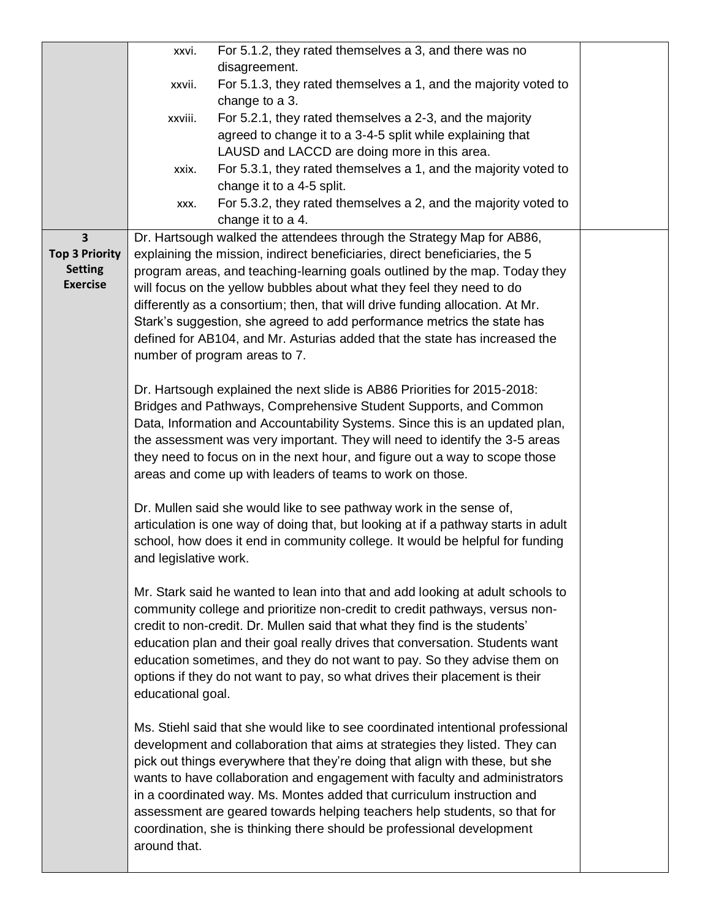|                         | xxvi.                                                                                  | For 5.1.2, they rated themselves a 3, and there was no                             |  |
|-------------------------|----------------------------------------------------------------------------------------|------------------------------------------------------------------------------------|--|
|                         |                                                                                        | disagreement.                                                                      |  |
|                         | xxvii.                                                                                 | For 5.1.3, they rated themselves a 1, and the majority voted to                    |  |
|                         | change to a 3.                                                                         |                                                                                    |  |
|                         | xxviii.                                                                                | For 5.2.1, they rated themselves a 2-3, and the majority                           |  |
|                         |                                                                                        | agreed to change it to a 3-4-5 split while explaining that                         |  |
|                         |                                                                                        | LAUSD and LACCD are doing more in this area.                                       |  |
|                         | xxix.                                                                                  | For 5.3.1, they rated themselves a 1, and the majority voted to                    |  |
|                         |                                                                                        | change it to a 4-5 split.                                                          |  |
|                         | XXX.                                                                                   | For 5.3.2, they rated themselves a 2, and the majority voted to                    |  |
|                         |                                                                                        | change it to a 4.                                                                  |  |
| $\overline{\mathbf{3}}$ |                                                                                        | Dr. Hartsough walked the attendees through the Strategy Map for AB86,              |  |
| <b>Top 3 Priority</b>   |                                                                                        | explaining the mission, indirect beneficiaries, direct beneficiaries, the 5        |  |
| <b>Setting</b>          |                                                                                        | program areas, and teaching-learning goals outlined by the map. Today they         |  |
| <b>Exercise</b>         |                                                                                        | will focus on the yellow bubbles about what they feel they need to do              |  |
|                         |                                                                                        | differently as a consortium; then, that will drive funding allocation. At Mr.      |  |
|                         |                                                                                        | Stark's suggestion, she agreed to add performance metrics the state has            |  |
|                         |                                                                                        | defined for AB104, and Mr. Asturias added that the state has increased the         |  |
|                         |                                                                                        | number of program areas to 7.                                                      |  |
|                         |                                                                                        |                                                                                    |  |
|                         |                                                                                        | Dr. Hartsough explained the next slide is AB86 Priorities for 2015-2018:           |  |
|                         |                                                                                        | Bridges and Pathways, Comprehensive Student Supports, and Common                   |  |
|                         |                                                                                        | Data, Information and Accountability Systems. Since this is an updated plan,       |  |
|                         | the assessment was very important. They will need to identify the 3-5 areas            |                                                                                    |  |
|                         | they need to focus on in the next hour, and figure out a way to scope those            |                                                                                    |  |
|                         | areas and come up with leaders of teams to work on those.                              |                                                                                    |  |
|                         | Dr. Mullen said she would like to see pathway work in the sense of,                    |                                                                                    |  |
|                         |                                                                                        | articulation is one way of doing that, but looking at if a pathway starts in adult |  |
|                         | school, how does it end in community college. It would be helpful for funding          |                                                                                    |  |
|                         | and legislative work.                                                                  |                                                                                    |  |
|                         | Mr. Stark said he wanted to lean into that and add looking at adult schools to         |                                                                                    |  |
|                         |                                                                                        | community college and prioritize non-credit to credit pathways, versus non-        |  |
|                         |                                                                                        | credit to non-credit. Dr. Mullen said that what they find is the students'         |  |
|                         | education plan and their goal really drives that conversation. Students want           |                                                                                    |  |
|                         | education sometimes, and they do not want to pay. So they advise them on               |                                                                                    |  |
|                         | options if they do not want to pay, so what drives their placement is their            |                                                                                    |  |
|                         | educational goal.                                                                      |                                                                                    |  |
|                         |                                                                                        |                                                                                    |  |
|                         | Ms. Stiehl said that she would like to see coordinated intentional professional        |                                                                                    |  |
|                         | development and collaboration that aims at strategies they listed. They can            |                                                                                    |  |
|                         | pick out things everywhere that they're doing that align with these, but she           |                                                                                    |  |
|                         | wants to have collaboration and engagement with faculty and administrators             |                                                                                    |  |
|                         | in a coordinated way. Ms. Montes added that curriculum instruction and                 |                                                                                    |  |
|                         | assessment are geared towards helping teachers help students, so that for              |                                                                                    |  |
|                         | coordination, she is thinking there should be professional development<br>around that. |                                                                                    |  |
|                         |                                                                                        |                                                                                    |  |
|                         |                                                                                        |                                                                                    |  |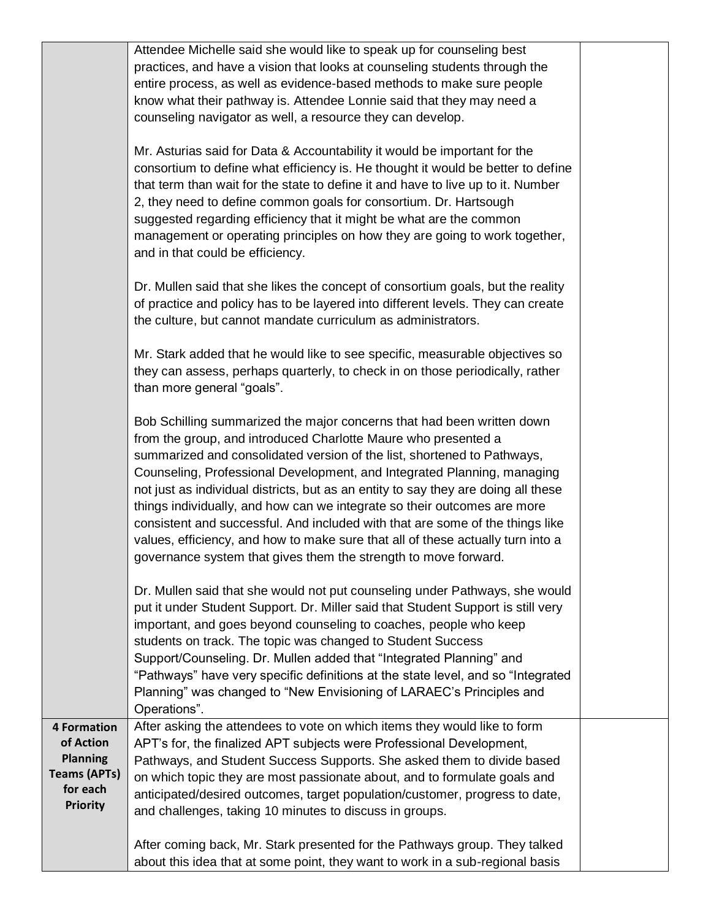|                     | Attendee Michelle said she would like to speak up for counseling best                                                                                                                                                                                                                                                                                                                                                                                                                                                                                                                                                                                                                                   |  |
|---------------------|---------------------------------------------------------------------------------------------------------------------------------------------------------------------------------------------------------------------------------------------------------------------------------------------------------------------------------------------------------------------------------------------------------------------------------------------------------------------------------------------------------------------------------------------------------------------------------------------------------------------------------------------------------------------------------------------------------|--|
|                     | practices, and have a vision that looks at counseling students through the<br>entire process, as well as evidence-based methods to make sure people                                                                                                                                                                                                                                                                                                                                                                                                                                                                                                                                                     |  |
|                     | know what their pathway is. Attendee Lonnie said that they may need a                                                                                                                                                                                                                                                                                                                                                                                                                                                                                                                                                                                                                                   |  |
|                     | counseling navigator as well, a resource they can develop.                                                                                                                                                                                                                                                                                                                                                                                                                                                                                                                                                                                                                                              |  |
|                     |                                                                                                                                                                                                                                                                                                                                                                                                                                                                                                                                                                                                                                                                                                         |  |
|                     | Mr. Asturias said for Data & Accountability it would be important for the<br>consortium to define what efficiency is. He thought it would be better to define<br>that term than wait for the state to define it and have to live up to it. Number<br>2, they need to define common goals for consortium. Dr. Hartsough<br>suggested regarding efficiency that it might be what are the common<br>management or operating principles on how they are going to work together,<br>and in that could be efficiency.                                                                                                                                                                                         |  |
|                     | Dr. Mullen said that she likes the concept of consortium goals, but the reality<br>of practice and policy has to be layered into different levels. They can create<br>the culture, but cannot mandate curriculum as administrators.                                                                                                                                                                                                                                                                                                                                                                                                                                                                     |  |
|                     | Mr. Stark added that he would like to see specific, measurable objectives so<br>they can assess, perhaps quarterly, to check in on those periodically, rather<br>than more general "goals".                                                                                                                                                                                                                                                                                                                                                                                                                                                                                                             |  |
|                     | Bob Schilling summarized the major concerns that had been written down<br>from the group, and introduced Charlotte Maure who presented a<br>summarized and consolidated version of the list, shortened to Pathways,<br>Counseling, Professional Development, and Integrated Planning, managing<br>not just as individual districts, but as an entity to say they are doing all these<br>things individually, and how can we integrate so their outcomes are more<br>consistent and successful. And included with that are some of the things like<br>values, efficiency, and how to make sure that all of these actually turn into a<br>governance system that gives them the strength to move forward. |  |
|                     | Dr. Mullen said that she would not put counseling under Pathways, she would<br>put it under Student Support. Dr. Miller said that Student Support is still very<br>important, and goes beyond counseling to coaches, people who keep<br>students on track. The topic was changed to Student Success<br>Support/Counseling. Dr. Mullen added that "Integrated Planning" and<br>"Pathways" have very specific definitions at the state level, and so "Integrated<br>Planning" was changed to "New Envisioning of LARAEC's Principles and<br>Operations".                                                                                                                                                  |  |
| <b>4 Formation</b>  | After asking the attendees to vote on which items they would like to form                                                                                                                                                                                                                                                                                                                                                                                                                                                                                                                                                                                                                               |  |
| of Action           | APT's for, the finalized APT subjects were Professional Development,                                                                                                                                                                                                                                                                                                                                                                                                                                                                                                                                                                                                                                    |  |
| <b>Planning</b>     | Pathways, and Student Success Supports. She asked them to divide based                                                                                                                                                                                                                                                                                                                                                                                                                                                                                                                                                                                                                                  |  |
| <b>Teams (APTs)</b> | on which topic they are most passionate about, and to formulate goals and                                                                                                                                                                                                                                                                                                                                                                                                                                                                                                                                                                                                                               |  |
| for each            | anticipated/desired outcomes, target population/customer, progress to date,                                                                                                                                                                                                                                                                                                                                                                                                                                                                                                                                                                                                                             |  |
| <b>Priority</b>     | and challenges, taking 10 minutes to discuss in groups.                                                                                                                                                                                                                                                                                                                                                                                                                                                                                                                                                                                                                                                 |  |
|                     | After coming back, Mr. Stark presented for the Pathways group. They talked<br>about this idea that at some point, they want to work in a sub-regional basis                                                                                                                                                                                                                                                                                                                                                                                                                                                                                                                                             |  |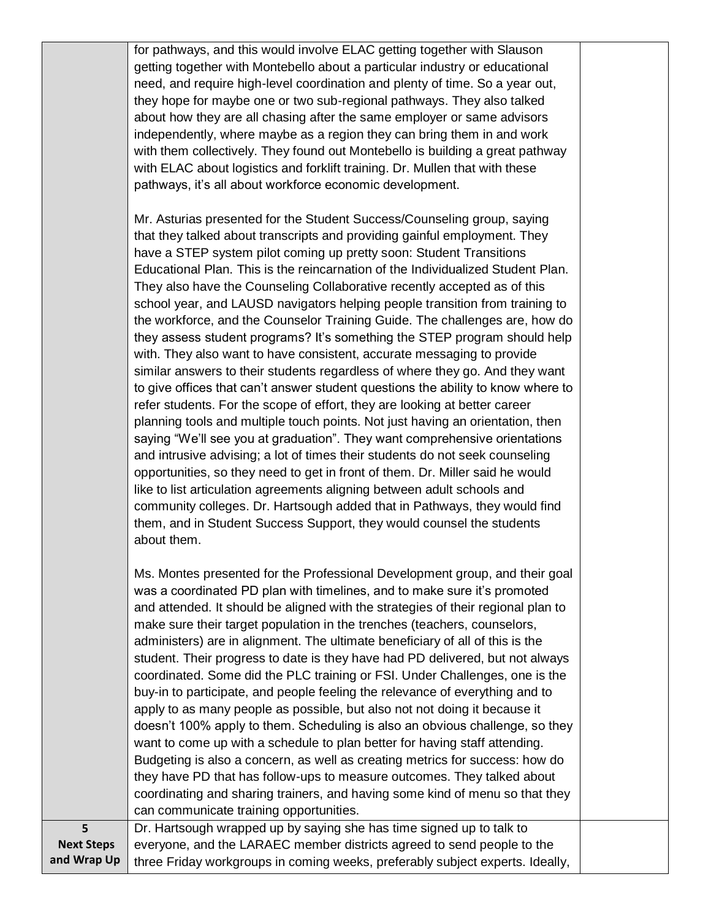for pathways, and this would involve ELAC getting together with Slauson getting together with Montebello about a particular industry or educational need, and require high-level coordination and plenty of time. So a year out, they hope for maybe one or two sub-regional pathways. They also talked about how they are all chasing after the same employer or same advisors independently, where maybe as a region they can bring them in and work with them collectively. They found out Montebello is building a great pathway with ELAC about logistics and forklift training. Dr. Mullen that with these pathways, it's all about workforce economic development.

Mr. Asturias presented for the Student Success/Counseling group, saying that they talked about transcripts and providing gainful employment. They have a STEP system pilot coming up pretty soon: Student Transitions Educational Plan. This is the reincarnation of the Individualized Student Plan. They also have the Counseling Collaborative recently accepted as of this school year, and LAUSD navigators helping people transition from training to the workforce, and the Counselor Training Guide. The challenges are, how do they assess student programs? It's something the STEP program should help with. They also want to have consistent, accurate messaging to provide similar answers to their students regardless of where they go. And they want to give offices that can't answer student questions the ability to know where to refer students. For the scope of effort, they are looking at better career planning tools and multiple touch points. Not just having an orientation, then saying "We'll see you at graduation". They want comprehensive orientations and intrusive advising; a lot of times their students do not seek counseling opportunities, so they need to get in front of them. Dr. Miller said he would like to list articulation agreements aligning between adult schools and community colleges. Dr. Hartsough added that in Pathways, they would find them, and in Student Success Support, they would counsel the students about them.

Ms. Montes presented for the Professional Development group, and their goal was a coordinated PD plan with timelines, and to make sure it's promoted and attended. It should be aligned with the strategies of their regional plan to make sure their target population in the trenches (teachers, counselors, administers) are in alignment. The ultimate beneficiary of all of this is the student. Their progress to date is they have had PD delivered, but not always coordinated. Some did the PLC training or FSI. Under Challenges, one is the buy-in to participate, and people feeling the relevance of everything and to apply to as many people as possible, but also not not doing it because it doesn't 100% apply to them. Scheduling is also an obvious challenge, so they want to come up with a schedule to plan better for having staff attending. Budgeting is also a concern, as well as creating metrics for success: how do they have PD that has follow-ups to measure outcomes. They talked about coordinating and sharing trainers, and having some kind of menu so that they can communicate training opportunities. Dr. Hartsough wrapped up by saying she has time signed up to talk to

**Next Steps and Wrap Up**

**5**

everyone, and the LARAEC member districts agreed to send people to the three Friday workgroups in coming weeks, preferably subject experts. Ideally,